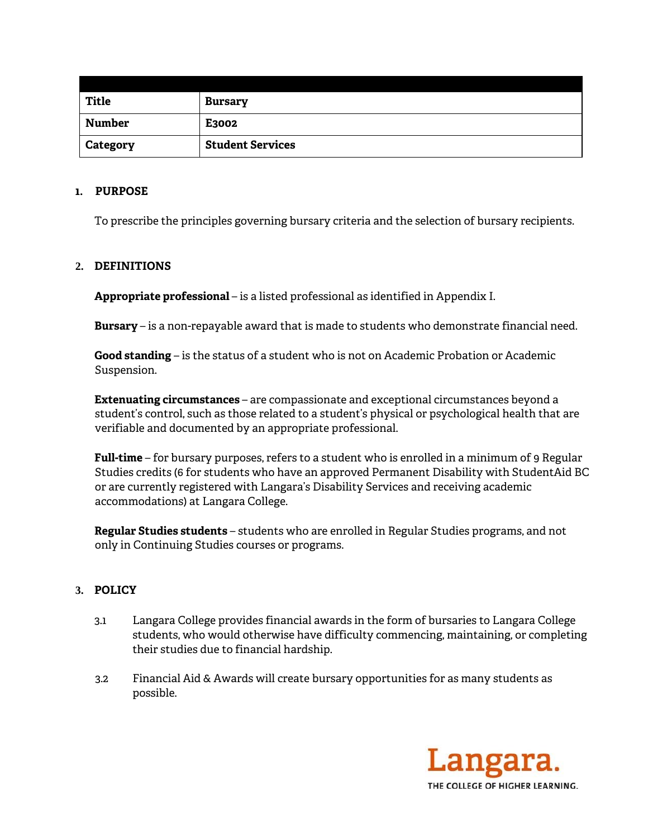| <b>Title</b>    | <b>Bursary</b>          |
|-----------------|-------------------------|
| Number          | E3002                   |
| <b>Category</b> | <b>Student Services</b> |

### **1. PURPOSE**

To prescribe the principles governing bursary criteria and the selection of bursary recipients.

# **2. DEFINITIONS**

**Appropriate professional** – is a listed professional as identified in Appendix I.

**Bursary** – is a non-repayable award that is made to students who demonstrate financial need.

**Good standing** – is the status of a student who is not on Academic Probation or Academic Suspension.

**Extenuating circumstances** – are compassionate and exceptional circumstances beyond a student's control, such as those related to a student's physical or psychological health that are verifiable and documented by an appropriate professional.

**Full-time** – for bursary purposes, refers to a student who is enrolled in a minimum of 9 Regular Studies credits (6 for students who have an approved Permanent Disability with StudentAid BC or are currently registered with Langara's Disability Services and receiving academic accommodations) at Langara College.

**Regular Studies students** – students who are enrolled in Regular Studies programs, and not only in Continuing Studies courses or programs.

# **3. POLICY**

- 3.1 Langara College provides financial awards in the form of bursaries to Langara College students, who would otherwise have difficulty commencing, maintaining, or completing their studies due to financial hardship.
- 3.2 Financial Aid & Awards will create bursary opportunities for as many students as possible.

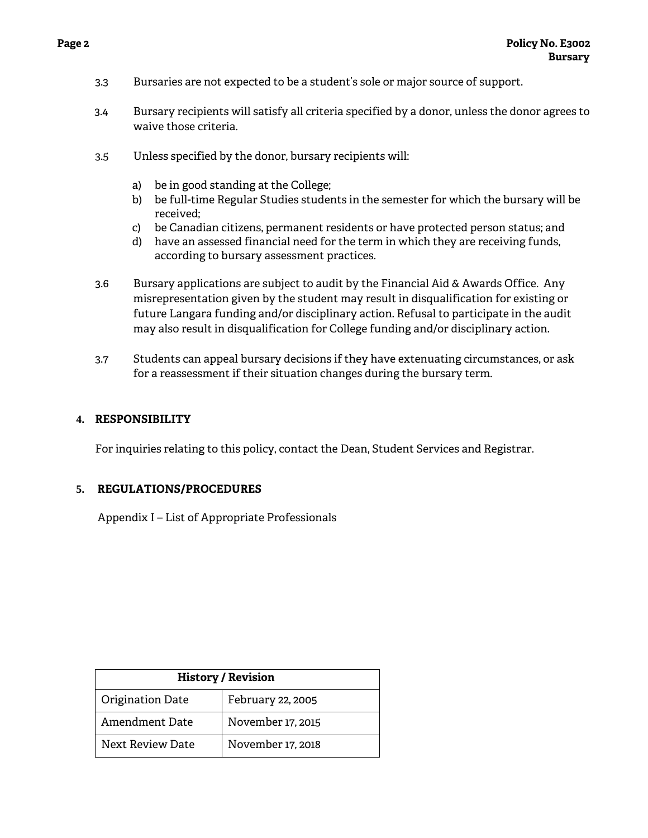- 3.3 Bursaries are not expected to be a student's sole or major source of support.
- 3.4 Bursary recipients will satisfy all criteria specified by a donor, unless the donor agrees to waive those criteria.
- 3.5 Unless specified by the donor, bursary recipients will:
	- a) be in good standing at the College;
	- b) be full-time Regular Studies students in the semester for which the bursary will be received;
	- c) be Canadian citizens, permanent residents or have protected person status; and
	- d) have an assessed financial need for the term in which they are receiving funds, according to bursary assessment practices.
- 3.6 Bursary applications are subject to audit by the Financial Aid & Awards Office. Any misrepresentation given by the student may result in disqualification for existing or future Langara funding and/or disciplinary action. Refusal to participate in the audit may also result in disqualification for College funding and/or disciplinary action.
- 3.7 Students can appeal bursary decisions if they have extenuating circumstances, or ask for a reassessment if their situation changes during the bursary term.

### **4. RESPONSIBILITY**

For inquiries relating to this policy, contact the Dean, Student Services and Registrar.

#### **5. REGULATIONS/PROCEDURES**

Appendix I – List of Appropriate Professionals

| <b>History / Revision</b> |                   |  |
|---------------------------|-------------------|--|
| Origination Date          | February 22, 2005 |  |
| Amendment Date            | November 17, 2015 |  |
| Next Review Date          | November 17, 2018 |  |